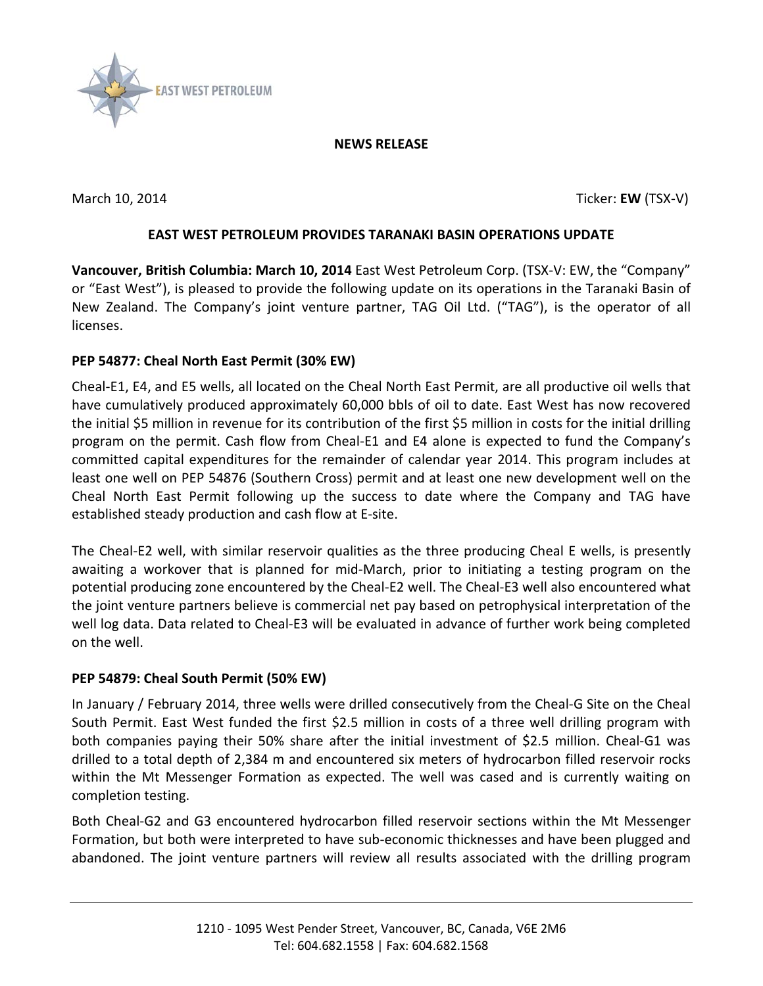

#### **NEWS RELEASE**

March 10, 2014 Ticker: **EW** (TSX-V)

# **EAST WEST PETROLEUM PROVIDES TARANAKI BASIN OPERATIONS UPDATE**

**Vancouver, British Columbia: March 10, 2014** East West Petroleum Corp. (TSX-V: EW, the "Company" or "East West"), is pleased to provide the following update on its operations in the Taranaki Basin of New Zealand. The Company's joint venture partner, TAG Oil Ltd. ("TAG"), is the operator of all licenses.

## **PEP 54877: Cheal North East Permit (30% EW)**

Cheal-E1, E4, and E5 wells, all located on the Cheal North East Permit, are all productive oil wells that have cumulatively produced approximately 60,000 bbls of oil to date. East West has now recovered the initial \$5 million in revenue for its contribution of the first \$5 million in costs for the initial drilling program on the permit. Cash flow from Cheal-E1 and E4 alone is expected to fund the Company's committed capital expenditures for the remainder of calendar year 2014. This program includes at least one well on PEP 54876 (Southern Cross) permit and at least one new development well on the Cheal North East Permit following up the success to date where the Company and TAG have established steady production and cash flow at E-site.

The Cheal-E2 well, with similar reservoir qualities as the three producing Cheal E wells, is presently awaiting a workover that is planned for mid-March, prior to initiating a testing program on the potential producing zone encountered by the Cheal-E2 well. The Cheal-E3 well also encountered what the joint venture partners believe is commercial net pay based on petrophysical interpretation of the well log data. Data related to Cheal-E3 will be evaluated in advance of further work being completed on the well.

# **PEP 54879: Cheal South Permit (50% EW)**

In January / February 2014, three wells were drilled consecutively from the Cheal-G Site on the Cheal South Permit. East West funded the first \$2.5 million in costs of a three well drilling program with both companies paying their 50% share after the initial investment of \$2.5 million. Cheal-G1 was drilled to a total depth of 2,384 m and encountered six meters of hydrocarbon filled reservoir rocks within the Mt Messenger Formation as expected. The well was cased and is currently waiting on completion testing.

Both Cheal-G2 and G3 encountered hydrocarbon filled reservoir sections within the Mt Messenger Formation, but both were interpreted to have sub-economic thicknesses and have been plugged and abandoned. The joint venture partners will review all results associated with the drilling program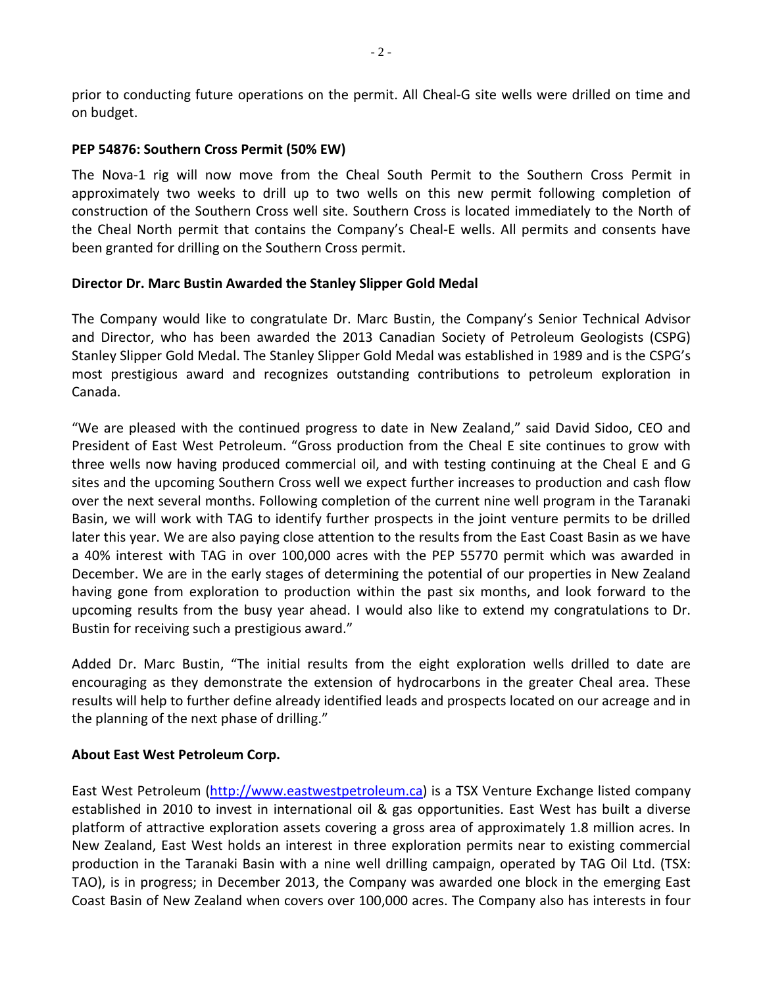prior to conducting future operations on the permit. All Cheal-G site wells were drilled on time and on budget.

#### **PEP 54876: Southern Cross Permit (50% EW)**

The Nova-1 rig will now move from the Cheal South Permit to the Southern Cross Permit in approximately two weeks to drill up to two wells on this new permit following completion of construction of the Southern Cross well site. Southern Cross is located immediately to the North of the Cheal North permit that contains the Company's Cheal-E wells. All permits and consents have been granted for drilling on the Southern Cross permit.

### **Director Dr. Marc Bustin Awarded the Stanley Slipper Gold Medal**

The Company would like to congratulate Dr. Marc Bustin, the Company's Senior Technical Advisor and Director, who has been awarded the 2013 Canadian Society of Petroleum Geologists (CSPG) Stanley Slipper Gold Medal. The Stanley Slipper Gold Medal was established in 1989 and is the CSPG's most prestigious award and recognizes outstanding contributions to petroleum exploration in Canada.

"We are pleased with the continued progress to date in New Zealand," said David Sidoo, CEO and President of East West Petroleum. "Gross production from the Cheal E site continues to grow with three wells now having produced commercial oil, and with testing continuing at the Cheal E and G sites and the upcoming Southern Cross well we expect further increases to production and cash flow over the next several months. Following completion of the current nine well program in the Taranaki Basin, we will work with TAG to identify further prospects in the joint venture permits to be drilled later this year. We are also paying close attention to the results from the East Coast Basin as we have a 40% interest with TAG in over 100,000 acres with the PEP 55770 permit which was awarded in December. We are in the early stages of determining the potential of our properties in New Zealand having gone from exploration to production within the past six months, and look forward to the upcoming results from the busy year ahead. I would also like to extend my congratulations to Dr. Bustin for receiving such a prestigious award."

Added Dr. Marc Bustin, "The initial results from the eight exploration wells drilled to date are encouraging as they demonstrate the extension of hydrocarbons in the greater Cheal area. These results will help to further define already identified leads and prospects located on our acreage and in the planning of the next phase of drilling."

### **About East West Petroleum Corp.**

East West Petroleum [\(http://www.eastwestpetroleum.ca\)](http://www.eastwestpetroleum.ca/) is a TSX Venture Exchange listed company established in 2010 to invest in international oil & gas opportunities. East West has built a diverse platform of attractive exploration assets covering a gross area of approximately 1.8 million acres. In New Zealand, East West holds an interest in three exploration permits near to existing commercial production in the Taranaki Basin with a nine well drilling campaign, operated by TAG Oil Ltd. (TSX: TAO), is in progress; in December 2013, the Company was awarded one block in the emerging East Coast Basin of New Zealand when covers over 100,000 acres. The Company also has interests in four